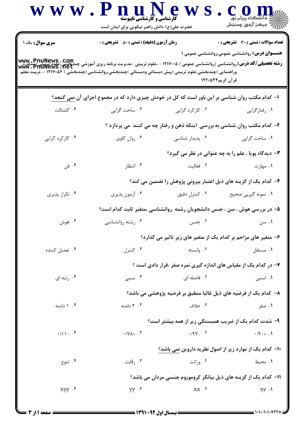| <b>سری سوال :</b> یک ۱       | <b>زمان آزمون (دقیقه) : تستی : 50 ٪ تشریحی : 0</b>                                                                                                                  |                                                                           | تعداد سوالات : تستى : 30 قشريحى : 0                    |
|------------------------------|---------------------------------------------------------------------------------------------------------------------------------------------------------------------|---------------------------------------------------------------------------|--------------------------------------------------------|
|                              |                                                                                                                                                                     |                                                                           | <b>عنـــوان درس:</b> روانشناسی عمومی،روانشناسی عمومی ۱ |
|                              | <b>رشته تحصیلی/کد درس: روانشناسی (روانشناسی عمومی ) ۱۲۱۷۰۰۵ - ،علوم تربیتی -مدیریت برنامه ریزی آموزشی چندبخشی،علوم ترپیتی(مشاوره<br/><b>www . PhuNews . het</b></b> |                                                                           |                                                        |
|                              | وراهنمایی )چندبخشی،علوم تربیتی (پیش دبستانی ودبستانی )چندبخشی،روانشناسی (چندبخشی ) ۱۲۱۷۰۵۶ – ،تربیت معلم                                                            | قرآن کریم۲۴۵۳۴                                                            |                                                        |
|                              | ا– کدام مکتب روان شناسی بر این باور است که کل در خودش چیزی دارد که در مجموع اجزای آن نمی گنجد؟                                                                      |                                                                           |                                                        |
| ۰۴ گشتالت                    | ۰۳ ساخت گرايي                                                                                                                                                       | ۰۲ کارکرد گرایی                                                           | ٠١ رفتارگرايي                                          |
|                              |                                                                                                                                                                     | ۲- کدام مکتب روان شناسی به بررسی آینکه ذهن و رفتار چه می کنند می پردازد ؟ |                                                        |
| ۰۴ کارکرد گرایی              | ۰۳ روان کاوی                                                                                                                                                        | ۰۲ پدیدار شناسی                                                           | ۰۱ ساخت گرايي                                          |
|                              |                                                                                                                                                                     |                                                                           | ۳- دیدگاه پویا ، علم را به چه عنوانی در نظر می گیرد؟   |
| ۰۴ فن                        | ۰۳ انتظار                                                                                                                                                           | ۰۲ فعالیت                                                                 | ۰۱ مهارت                                               |
|                              |                                                                                                                                                                     | ۴– کدام یک از گزینه های ذیل اعتبار بیرونی پژوهش را تضمین می کند؟          |                                                        |
| ۰۴ تکرار پذیری               | ۰۳ آزمون پذیری                                                                                                                                                      | ۰۲ کنترل دقیق                                                             | ۰۱ نمونه گیریی صحیح                                    |
|                              |                                                                                                                                                                     | ۵– در بررسی هوش ، سن ، جنس دانشجویان رشته روانشناسی ،متغیر ثابت کدام است؟ |                                                        |
| ۰۴ هوش                       | ۰۳ رشته روانشناسی                                                                                                                                                   | ۰۲ جنس                                                                    | ۰۱ سن                                                  |
|                              |                                                                                                                                                                     | ۶- متغیر های مزاحم بر کدام یک از متغیر های زیر تاثیر می گذارد؟            |                                                        |
| ۰۴ تعدیل کننده               | ۰۳ کنترل                                                                                                                                                            | ۰۲ وابسته                                                                 | ۰۱ مستقل                                               |
|                              | ۷- در کدام یک از مقیاس های اندازه گیری نمره صفر ،قرار دادی است ؟                                                                                                    |                                                                           |                                                        |
| ۰۴ نبه ای $\cdot$ ۴          | ۰۳ نسبی                                                                                                                                                             | ۰۲ فاصله ای                                                               | ۰۱ اسمی                                                |
|                              | ۸– کدام یک از فرضیه های ذیل غالبا منطبق بر فرضیه پژوهشی می باشد؟                                                                                                    |                                                                           |                                                        |
| ۰۴ ( دامنه                   | ۲۰۳ دامنه                                                                                                                                                           | ٢. خلاف                                                                   | ۰۱ صفر                                                 |
|                              |                                                                                                                                                                     | ۹- شدت کدام یک از ضریب همبستگی زیر از همه بیشتر است؟                      |                                                        |
| $\cdot/\right)$ . $\uparrow$ | $\cdot$ / $\gamma$ $\lambda$ + $\cdot$ $\tilde{\tau}$                                                                                                               | $.495 - .7$                                                               | $\cdot$ /9 $\cdot$ + $\cdot$ )                         |
|                              |                                                                                                                                                                     | ۱۰– کدام یک از موارد زیر از اصول نظریه داروین نمی باشد؟                   |                                                        |
| ۰۴ تنوع                      | ۰۳ رقابت                                                                                                                                                            | ۰۲ وراثت                                                                  | ۰۱ محیط                                                |
|                              |                                                                                                                                                                     | 1۱– کدام یک از گزینه های ذیل بیانگر کروموزوم جنسی مردان می باشد؟          |                                                        |
| $xyy \cdot f$                | $yy \cdot r$                                                                                                                                                        | $XX$ $.7$                                                                 | $xy \cdot 1$                                           |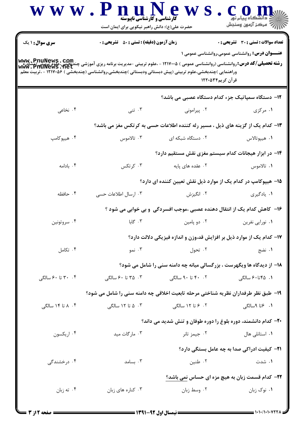|                        | حضرت علی(ع): دانش راهبر نیکویی برای ایمان است                                                                                                                                                                                                                                   |                                                                                 | ڪ دانشڪاه پيام نور<br>  77 مرکز آزمون وسنڊش            |  |
|------------------------|---------------------------------------------------------------------------------------------------------------------------------------------------------------------------------------------------------------------------------------------------------------------------------|---------------------------------------------------------------------------------|--------------------------------------------------------|--|
| <b>سری سوال : ۱ یک</b> | <b>زمان آزمون (دقیقه) : تستی : 50 ٪ تشریحی : 0</b>                                                                                                                                                                                                                              |                                                                                 | <b>تعداد سوالات : تستی : 30 ٪ تشریحی : 0</b>           |  |
|                        | <b>رشته تحصیلی/کد درس: روانشناسی (روانشناسی عمومی ) ۱۲۱۷۰۰۵ - ،علوم تربیتی -مدیریت برنامه ریزی آموزشی چندبخشی،علوم ترپیتی(مشاوره<br/><b>www . PhuNews . het</b></b><br>وراهنمایی )چندبخشی،علوم تربیتی (پیش دبستانی ودبستانی )چندبخشی،روانشناسی (چندبخشی ) ۱۲۱۷۰۵۶ - ،تربیت معلم | قرآن کریم۱۲۲۰۵۳۴                                                                | <b>عنـــوان درس:</b> روانشناسی عمومی،روانشناسی عمومی ۱ |  |
|                        |                                                                                                                                                                                                                                                                                 | <b>۱۲</b> - دستگاه سمپاتیک جزء کدام دستگاه عصبی می باشد؟                        |                                                        |  |
| ۰۴ نخاعی               | ۰۳ تنی                                                                                                                                                                                                                                                                          | ۰۲ پیرامونی                                                                     | ۰۱ مرکزی                                               |  |
|                        |                                                                                                                                                                                                                                                                                 | ۱۳- کدام یک از گزینه های ذیل ، مسیر رله کننده اطلاعات حسی به کرتکس مغز می باشد؟ |                                                        |  |
| ۰۴ هيپوکامپ            | ۰۳ تالاموس                                                                                                                                                                                                                                                                      | ۰۲ دستگاه شبکه ای                                                               | ٠١ هيپوتالاس                                           |  |
|                        |                                                                                                                                                                                                                                                                                 | ۱۴– در ابزار هیجانات کدام سیستم مغزی نقش مستقیم دارد؟                           |                                                        |  |
| ۰۴ بادامه              | ۰۳ کرتکس                                                                                                                                                                                                                                                                        | ۰۲ عقده های پایه                                                                | ۱. تالاموس                                             |  |
|                        |                                                                                                                                                                                                                                                                                 | ۱۵– هیپوکامپ در کدام یک از موارد ذیل نقش تعیین کننده ای دارد؟                   |                                                        |  |
| ۰۴ حافظه               | ۰۳ ارسال اطلاعات حسی                                                                                                                                                                                                                                                            | ۰۲ انگیزش                                                                       | ۰۱ يادگيري                                             |  |
|                        |                                                                                                                                                                                                                                                                                 | ۱۶– کاهش کدام یک از انتقال دهنده عصبی ،موجب افسردگی و بی خوابی می شود ؟         |                                                        |  |
| ۰۴ سروتونين            | ۰۳ گابا                                                                                                                                                                                                                                                                         | ۰۲ دو پامين                                                                     | ٠١ نورايي نفرين                                        |  |
|                        |                                                                                                                                                                                                                                                                                 | ۱۷– کدام یک از موارد ذیل بر افزایش قد،وزن و اندازه فیزیکی دلالت دارد؟           |                                                        |  |
| ۰۴ تکامل               | ۰۳ نمو                                                                                                                                                                                                                                                                          | ۰۲ تحول                                                                         | ۰۱ نضج                                                 |  |
|                        | <b>۱۸- از دیدگاه ها ویگهرست ، بزرگسالی میانه چه دامنه سنی را شامل می شود؟</b>                                                                                                                                                                                                   |                                                                                 |                                                        |  |
| ۰۴ تا ۶۰ سالگی         | ۰۳ تا ۶۰ سالگی                                                                                                                                                                                                                                                                  | ۰۲ تا ۹۰ سالگی                                                                  | ۰۱ ۴۵تا۶۰ سالگی                                        |  |
|                        | ۱۹- طبق نظر طرفداران نظریه شناختی مرحله تابعیت اخلاقی چه دامنه سنی را شامل می شود؟                                                                                                                                                                                              |                                                                                 |                                                        |  |
| ۰۴ ۸ تا ۱۴ سالگی       | ۰۳ ۵ تا ۱۲ سالگی                                                                                                                                                                                                                                                                | ۲. ۶ تا ۱۲ سالگی                                                                | ٠١. ٢تا ٩سالگى                                         |  |
|                        |                                                                                                                                                                                                                                                                                 | ۲۰- کدام دانشمند، دوره بلوغ را دوره طوفان و تنش شدید می داند؟                   |                                                        |  |
| ۰۴ اریکسون             | ۰۳ مار گات مید                                                                                                                                                                                                                                                                  | ۰۲ جیمز تانر                                                                    | ۰۱ استانلی هال                                         |  |
|                        |                                                                                                                                                                                                                                                                                 |                                                                                 | <b>۲۱</b> – کیفیت ادراکی صدا به چه عامل بستگی دارد؟    |  |
| ۰۴ درخشندگی            | ۰۳ بسامد                                                                                                                                                                                                                                                                        | ۰۲ طنین                                                                         | ۰۱ شدت                                                 |  |
|                        |                                                                                                                                                                                                                                                                                 |                                                                                 | ٢٢- كدام قسمت زبان به هيچ مزه اي حساس نمي باشد؟        |  |
| ۰۴ ته زبان             | ۰۳ کناره های زبان                                                                                                                                                                                                                                                               | ۰۲ وسط زبان                                                                     | ٠١. نوک زبان                                           |  |

 $= 1.1$   $(1.1.1.0777)$